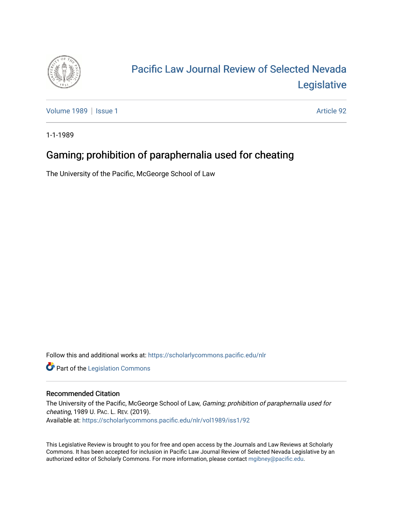

# [Pacific Law Journal Review of Selected Nevada](https://scholarlycommons.pacific.edu/nlr)  [Legislative](https://scholarlycommons.pacific.edu/nlr)

[Volume 1989](https://scholarlycommons.pacific.edu/nlr/vol1989) | [Issue 1](https://scholarlycommons.pacific.edu/nlr/vol1989/iss1) Article 92

1-1-1989

## Gaming; prohibition of paraphernalia used for cheating

The University of the Pacific, McGeorge School of Law

Follow this and additional works at: [https://scholarlycommons.pacific.edu/nlr](https://scholarlycommons.pacific.edu/nlr?utm_source=scholarlycommons.pacific.edu%2Fnlr%2Fvol1989%2Fiss1%2F92&utm_medium=PDF&utm_campaign=PDFCoverPages) 

**Part of the [Legislation Commons](http://network.bepress.com/hgg/discipline/859?utm_source=scholarlycommons.pacific.edu%2Fnlr%2Fvol1989%2Fiss1%2F92&utm_medium=PDF&utm_campaign=PDFCoverPages)** 

### Recommended Citation

The University of the Pacific, McGeorge School of Law, Gaming; prohibition of paraphernalia used for cheating, 1989 U. PAC. L. REV. (2019). Available at: [https://scholarlycommons.pacific.edu/nlr/vol1989/iss1/92](https://scholarlycommons.pacific.edu/nlr/vol1989/iss1/92?utm_source=scholarlycommons.pacific.edu%2Fnlr%2Fvol1989%2Fiss1%2F92&utm_medium=PDF&utm_campaign=PDFCoverPages)

This Legislative Review is brought to you for free and open access by the Journals and Law Reviews at Scholarly Commons. It has been accepted for inclusion in Pacific Law Journal Review of Selected Nevada Legislative by an authorized editor of Scholarly Commons. For more information, please contact [mgibney@pacific.edu](mailto:mgibney@pacific.edu).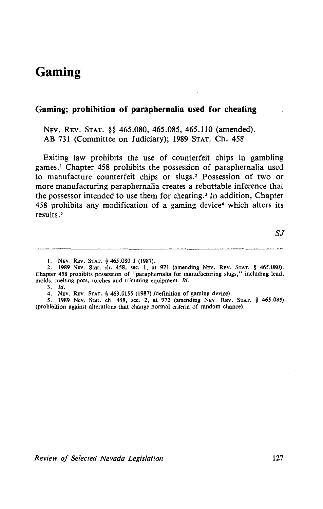### **Gaming**

#### **Gaming; prohibition of paraphernalia used for cheating**

NEV. REV. STAT. §§ 465.080, 465.085, 465.110 (amended). AB 731 (Committee on Judiciary); 1989 STAT. Ch. 458

Exiting law prohibits the use of counterfeit chips in gambling games. 1 Chapter 458 prohibits the possession of paraphernalia used to manufacture counterfeit chips or slugs. 2 Possession of two or more manufacturing paraphernalia creates a rebuttable inference that the possessor intended to use them for cheating. 3 In addition, Chapter 458 prohibits any modification of a gaming device<sup>4</sup> which alters its results.<sup>5</sup>

I. NEv. REv. StAT. § 465.080 1 (1987).

2. 1989 Nev. Stat. ch. 458, sec. 1, at 971 (amending NEv. REv. StAT. § 465.080). Chapter 458 prohibits possession of "paraphernalia for manufacturing slugs," including lead, molds, melting pots, torches and trimming equipment. *!d.* 

3. *!d.* 

4. NEV. REv. StAT. § 463.0155 (1987) (definition of gaming device).

*5.* 1989 Nev. Stat. ch. 458, sec. 2, at 972 (amending NEV. REv. StAT. § 465.085) (prohibition against alterations that change normal criteria of random chance).

*Review of Selected Nevada Legislation* 127